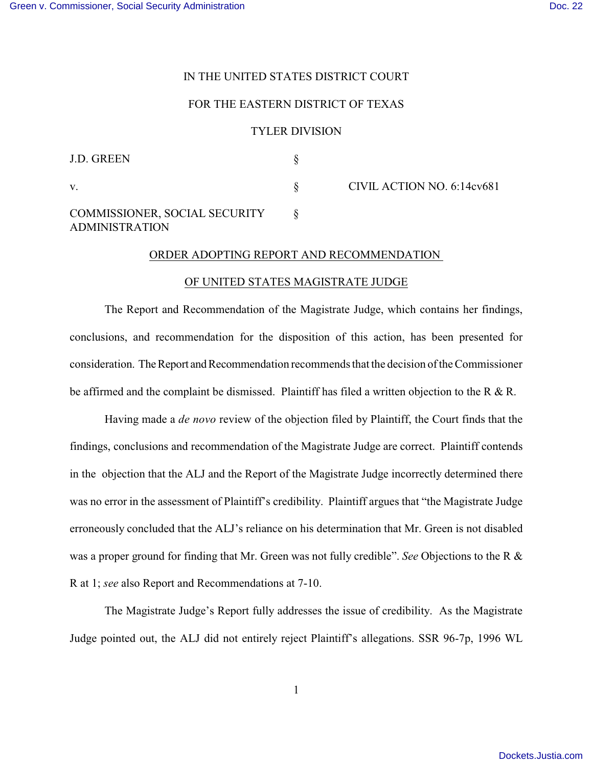### IN THE UNITED STATES DISTRICT COURT

### FOR THE EASTERN DISTRICT OF TEXAS

#### TYLER DIVISION

| <b>J.D. GREEN</b>                                      |                            |
|--------------------------------------------------------|----------------------------|
| V.                                                     | CIVIL ACTION NO. 6:14cv681 |
| COMMISSIONER, SOCIAL SECURITY<br><b>ADMINISTRATION</b> |                            |

# ORDER ADOPTING REPORT AND RECOMMENDATION

# OF UNITED STATES MAGISTRATE JUDGE

The Report and Recommendation of the Magistrate Judge, which contains her findings, conclusions, and recommendation for the disposition of this action, has been presented for consideration. The Report and Recommendation recommends that the decision of the Commissioner be affirmed and the complaint be dismissed. Plaintiff has filed a written objection to the R & R.

 Having made a *de novo* review of the objection filed by Plaintiff, the Court finds that the findings, conclusions and recommendation of the Magistrate Judge are correct. Plaintiff contends in the objection that the ALJ and the Report of the Magistrate Judge incorrectly determined there was no error in the assessment of Plaintiff's credibility. Plaintiff argues that "the Magistrate Judge erroneously concluded that the ALJ's reliance on his determination that Mr. Green is not disabled was a proper ground for finding that Mr. Green was not fully credible". *See* Objections to the R & R at 1; *see* also Report and Recommendations at 7-10.

The Magistrate Judge's Report fully addresses the issue of credibility. As the Magistrate Judge pointed out, the ALJ did not entirely reject Plaintiff's allegations. SSR 96-7p, 1996 WL